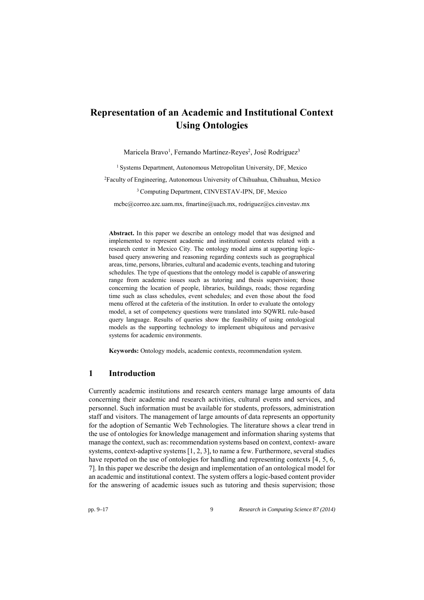# **Representation of an Academic and Institutional Context Using Ontologies**

Maricela Bravo<sup>1</sup>, Fernando Martínez-Reyes<sup>2</sup>, José Rodríguez<sup>3</sup>

<sup>1</sup> Systems Department, Autonomous Metropolitan University, DF, Mexico

<sup>2</sup>Faculty of Engineering, Autonomous University of Chihuahua, Chihuahua, Mexico

#### <sup>3</sup> Computing Department, CINVESTAV-IPN, DF, Mexico

[mcbc@correo.azc.uam.mx](mailto:mcbc@correo.azc.uam.m), [fmartine@uach.mx, rodriguez@cs.cinvestav.mx](mailto:rodriguez@cs.cinvestav.mx)

**Abstract.** In this paper we describe an ontology model that was designed and implemented to represent academic and institutional contexts related with a research center in Mexico City. The ontology model aims at supporting logicbased query answering and reasoning regarding contexts such as geographical areas, time, persons, libraries, cultural and academic events, teaching and tutoring schedules. The type of questions that the ontology model is capable of answering range from academic issues such as tutoring and thesis supervision; those concerning the location of people, libraries, buildings, roads; those regarding time such as class schedules, event schedules; and even those about the food menu offered at the cafeteria of the institution. In order to evaluate the ontology model, a set of competency questions were translated into SQWRL rule-based query language. Results of queries show the feasibility of using ontological models as the supporting technology to implement ubiquitous and pervasive systems for academic environments.

**Keywords:** Ontology models, academic contexts, recommendation system.

#### **1 Introduction**

Currently academic institutions and research centers manage large amounts of data concerning their academic and research activities, cultural events and services, and personnel. Such information must be available for students, professors, administration staff and visitors. The management of large amounts of data represents an opportunity for the adoption of Semantic Web Technologies. The literature shows a clear trend in the use of ontologies for knowledge management and information sharing systems that manage the context, such as: recommendation systems based on context, context- aware systems, context-adaptive systems [1, 2, 3], to name a few. Furthermore, several studies have reported on the use of ontologies for handling and representing contexts [4, 5, 6, 7]. In this paper we describe the design and implementation of an ontological model for an academic and institutional context. The system offers a logic-based content provider for the answering of academic issues such as tutoring and thesis supervision; those

pp. 9–17 9 *Research in Computing Science 87 (2014)*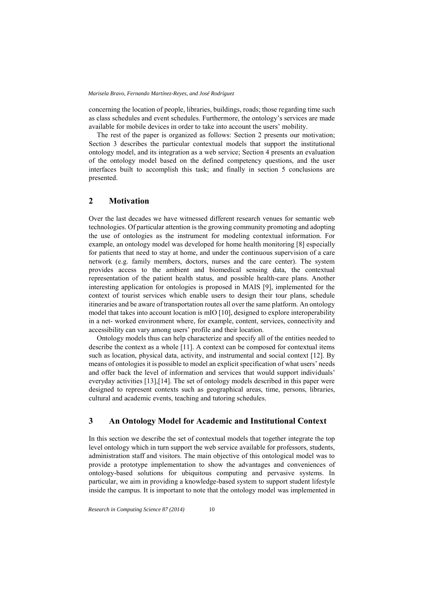concerning the location of people, libraries, buildings, roads; those regarding time such as class schedules and event schedules. Furthermore, the ontology's services are made available for mobile devices in order to take into account the users' mobility.

The rest of the paper is organized as follows: Section 2 presents our motivation; Section 3 describes the particular contextual models that support the institutional ontology model, and its integration as a web service; Section 4 presents an evaluation of the ontology model based on the defined competency questions, and the user interfaces built to accomplish this task; and finally in section 5 conclusions are presented.

## **2 Motivation**

Over the last decades we have witnessed different research venues for semantic web technologies. Of particular attention is the growing community promoting and adopting the use of ontologies as the instrument for modeling contextual information. For example, an ontology model was developed for home health monitoring [8] especially for patients that need to stay at home, and under the continuous supervision of a care network (e.g. family members, doctors, nurses and the care center). The system provides access to the ambient and biomedical sensing data, the contextual representation of the patient health status, and possible health-care plans. Another interesting application for ontologies is proposed in MAIS [9], implemented for the context of tourist services which enable users to design their tour plans, schedule itineraries and be aware of transportation routes all over the same platform. An ontology model that takes into account location is mIO [10], designed to explore interoperability in a net- worked environment where, for example, content, services, connectivity and accessibility can vary among users' profile and their location.

Ontology models thus can help characterize and specify all of the entities needed to describe the context as a whole [11]. A context can be composed for contextual items such as location, physical data, activity, and instrumental and social context [12]. By means of ontologies it is possible to model an explicit specification of what users' needs and offer back the level of information and services that would support individuals' everyday activities [13],[14]. The set of ontology models described in this paper were designed to represent contexts such as geographical areas, time, persons, libraries, cultural and academic events, teaching and tutoring schedules.

#### **3 An Ontology Model for Academic and Institutional Context**

In this section we describe the set of contextual models that together integrate the top level ontology which in turn support the web service available for professors, students, administration staff and visitors. The main objective of this ontological model was to provide a prototype implementation to show the advantages and conveniences of ontology-based solutions for ubiquitous computing and pervasive systems. In particular, we aim in providing a knowledge-based system to support student lifestyle inside the campus. It is important to note that the ontology model was implemented in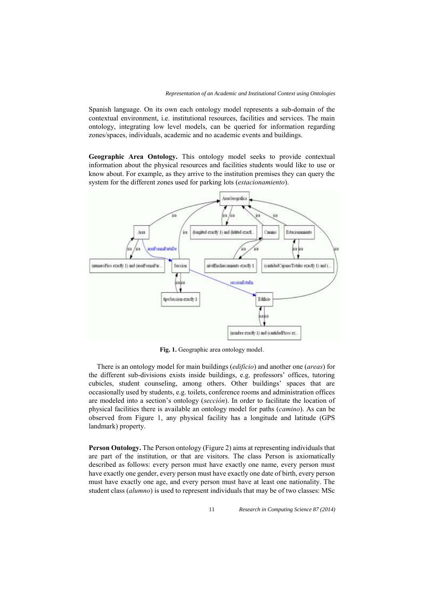Spanish language. On its own each ontology model represents a sub-domain of the contextual environment, i.e. institutional resources, facilities and services. The main ontology, integrating low level models, can be queried for information regarding zones/spaces, individuals, academic and no academic events and buildings.

**Geographic Area Ontology.** This ontology model seeks to provide contextual information about the physical resources and facilities students would like to use or know about. For example, as they arrive to the institution premises they can query the system for the different zones used for parking lots (*estacionamiento*).



**Fig. 1.** Geographic area ontology model.

There is an ontology model for main buildings (*edificio*) and another one (*areas*) for the different sub-divisions exists inside buildings, e.g. professors' offices, tutoring cubicles, student counseling, among others. Other buildings' spaces that are occasionally used by students, e.g. toilets, conference rooms and administration offices are modeled into a section's ontology (*sección*). In order to facilitate the location of physical facilities there is available an ontology model for paths (*camino*). As can be observed from Figure 1, any physical facility has a longitude and latitude (GPS landmark) property.

**Person Ontology.** The Person ontology (Figure 2) aims at representing individuals that are part of the institution, or that are visitors. The class Person is axiomatically described as follows: every person must have exactly one name, every person must have exactly one gender, every person must have exactly one date of birth, every person must have exactly one age, and every person must have at least one nationality. The student class (*alumno*) is used to represent individuals that may be of two classes: MSc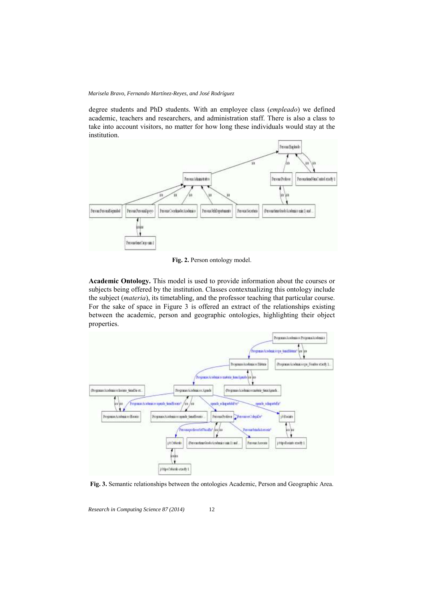*Marisela Bravo, Fernando Martínez-Reyes, and José Rodríguez*

degree students and PhD students. With an employee class (*empleado*) we defined academic, teachers and researchers, and administration staff. There is also a class to take into account visitors, no matter for how long these individuals would stay at the institution.



**Fig. 2.** Person ontology model.

**Academic Ontology.** This model is used to provide information about the courses or subjects being offered by the institution. Classes contextualizing this ontology include the subject (*materia*), its timetabling, and the professor teaching that particular course. For the sake of space in Figure 3 is offered an extract of the relationships existing between the academic, person and geographic ontologies, highlighting their object properties.



**Fig. 3.** Semantic relationships between the ontologies Academic, Person and Geographic Area.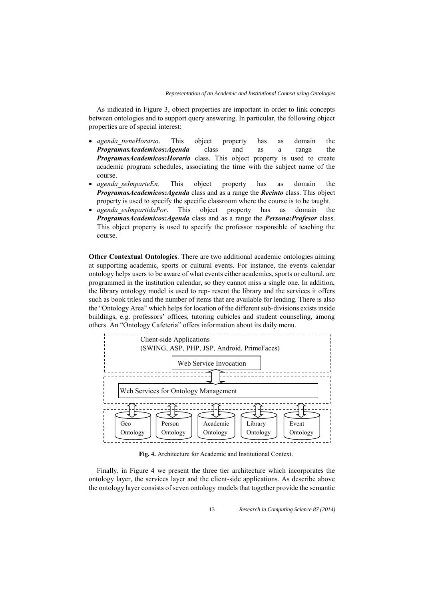As indicated in Figure 3, object properties are important in order to link concepts between ontologies and to support query answering. In particular, the following object properties are of special interest:

- *agenda tieneHorario*. This object property has as domain the *ProgramasAcademicos:Agenda* class and as a range the *ProgramasAcademicos:Horario* class. This object property is used to create academic program schedules, associating the time with the subject name of the course.
- *agenda\_seImparteEn*. This object property has as domain the *ProgramasAcademicos:Agenda* class and as a range the *Recinto* class. This object property is used to specify the specific classroom where the course is to be taught.
- *agenda\_esImpartidaPor*. This object property has as domain the *ProgramasAcademicos:Agenda* class and as a range the *Persona:Profesor* class. This object property is used to specify the professor responsible of teaching the course.

**Other Contextual Ontologies**. There are two additional academic ontologies aiming at supporting academic, sports or cultural events. For instance, the events calendar ontology helps users to be aware of what events either academics, sports or cultural, are programmed in the institution calendar, so they cannot miss a single one. In addition, the library ontology model is used to rep- resent the library and the services it offers such as book titles and the number of items that are available for lending. There is also the "Ontology Area" which helps for location of the different sub-divisions exists inside buildings, e.g. professors' offices, tutoring cubicles and student counseling, among others. An "Ontology Cafeteria" offers information about its daily menu.



**Fig. 4.** Architecture for Academic and Institutional Context.

Finally, in Figure 4 we present the three tier architecture which incorporates the ontology layer, the services layer and the client-side applications. As describe above the ontology layer consists of seven ontology models that together provide the semantic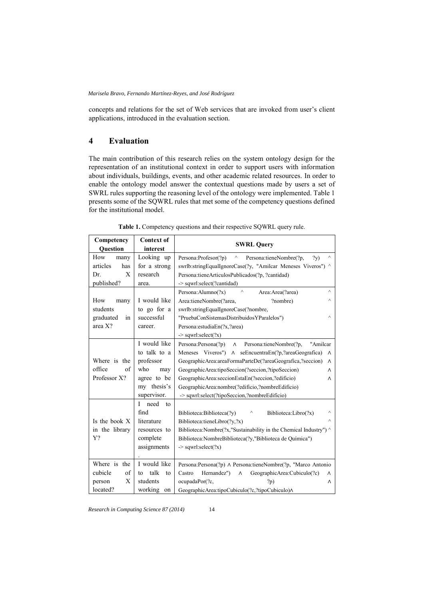*Marisela Bravo, Fernando Martínez-Reyes, and José Rodríguez*

concepts and relations for the set of Web services that are invoked from user's client applications, introduced in the evaluation section.

## **4 Evaluation**

The main contribution of this research relies on the system ontology design for the representation of an institutional context in order to support users with information about individuals, buildings, events, and other academic related resources. In order to enable the ontology model answer the contextual questions made by users a set of SWRL rules supporting the reasoning level of the ontology were implemented. Table 1 presents some of the SQWRL rules that met some of the competency questions defined for the institutional model.

| Competency<br><b>Question</b> | <b>Context of</b><br>interest | <b>SWRL Query</b>                                                        |
|-------------------------------|-------------------------------|--------------------------------------------------------------------------|
| How<br>many                   | Looking up                    | Persona: Profesor(?p)<br>Λ<br>Persona:tieneNombre(?p,<br>Λ<br>(y)        |
| articles<br>has               | for a strong                  | swrlb:stringEqualIgnoreCase(?y, "Amilcar Meneses Viveros") ^             |
| X<br>Dr.                      | research                      | Persona:tieneArticulosPublicados(?p, ?cantidad)                          |
| published?                    | area.                         | -> sqwrl:select(?cantidad)                                               |
|                               |                               | $\wedge$<br>$\wedge$<br>Area: Area(?area)<br>Persona: Alumno(?x)         |
| How<br>many                   | I would like                  | Area:tieneNombre(?area,<br>?nombre)<br>Λ                                 |
| students                      | to go for a                   | swrlb:stringEqualIgnoreCase(?nombre,                                     |
| graduated<br>in               | successful                    | $\wedge$<br>"PruebaConSistemasDistribuidosYParalelos")                   |
| area X?                       | career.                       | Persona: estudiaEn(?x,?area)                                             |
|                               |                               | $\rightarrow$ sqwrl:select(?x)                                           |
|                               | I would like                  | Persona: Persona(?p)<br>Persona:tieneNombre(?p,<br>"Amilcar<br>$\wedge$  |
|                               | to talk to a                  | Meneses Viveros") A seEncuentraEn(?p,?areaGeografica)<br>$\Lambda$       |
| Where is the                  | professor                     | GeographicArea:areaFormaParteDe(?areaGeografica,?seccion)<br>$\wedge$    |
| office<br>of                  | who<br>may                    | GeographicArea.tipoSeccion(?seccion,?tipoSeccion)<br>Λ                   |
| Professor X?                  | agree to be                   | GeographicArea:seccionEstaEn(?seccion,?edificio)<br>Λ                    |
|                               | my thesis's                   | GeographicArea:nombre(?edificio,?nombreEdificio)                         |
|                               | supervisor.                   | -> sqwrl:select(?tipoSeccion,?nombreEdificio)                            |
|                               | need<br>I<br>to               |                                                                          |
|                               | find                          | Biblioteca:Biblioteca(?v)<br>$\wedge$<br>Biblioteca:Libro(?x)            |
| Is the book X                 | literature                    | $\wedge$<br>Biblioteca:tieneLibro $(?y,?x)$                              |
| in the library                | resources to                  | Biblioteca:Nombre(?x,"Sustainability in the Chemical Industry") $\wedge$ |
| Y?                            | complete                      | Biblioteca:NombreBiblioteca(?y,"Biblioteca de Química")                  |
|                               | assignments                   | $\geq$ sqwrl:select(?x)                                                  |
|                               |                               |                                                                          |
| Where is the                  | I would like                  | Persona: Persona(?p) A Persona: tieneNombre(?p, "Marco Antonio           |
| cubicle<br>of                 | talk<br>to<br>to              | Hernandez")<br>GeographicArea:Cubiculo(?c)<br>Castro<br>$\Lambda$<br>Λ   |
| X<br>person                   | students                      | ocupadaPor(?c.<br>?p)<br>Λ                                               |
| located?                      | working<br>on                 | GeographicArea:tipoCubiculo(?c,?tipoCubiculo)A                           |

**Table 1.** Competency questions and their respective SQWRL query rule.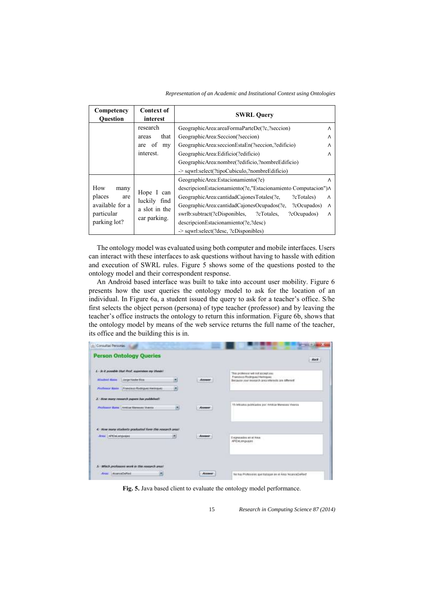*Representation of an Academic and Institutional Context using Ontologies*

| Competency<br><b>Ouestion</b> | <b>Context of</b><br>interest | <b>SWRL Query</b>                                                      |
|-------------------------------|-------------------------------|------------------------------------------------------------------------|
|                               | research                      | GeographicArea:areaFormaParteDe(?c,?seccion)<br>$\wedge$               |
|                               | that<br>areas                 | GeographicArea:Seccion(?seccion)<br>Λ                                  |
|                               | of<br>my<br>are               | GeographicArea:seccionEstaEn(?seccion,?edificio)<br>Λ                  |
|                               | interest.                     | GeographicArea:Edificio(?edificio)<br>$\wedge$                         |
|                               |                               | GeographicArea:nombre(?edificio,?nombreEdificio)                       |
|                               |                               | $\ge$ sqwrl:select(?tipoCubiculo,?nombreEdificio)                      |
|                               |                               | GeographicArea:Estacionamiento(?e)<br>Λ                                |
| How<br>many                   | Hope I can                    | descripcionEstacionamiento(?e,"Estacionamiento Computacion") $\Lambda$ |
| places<br>are                 | luckily find                  | GeographicArea:cantidadCajonesTotales(?e.<br>?cTotales)<br>$\wedge$    |
| available for a               | a slot in the                 | GeographicArea:cantidadCajonesOcupados(?e,<br>?cOcupados)<br>$\wedge$  |
| particular                    | car parking.                  | swrlb:subtract(?cDisponibles,<br>?cOcupados)<br>?cTotales.<br>Λ        |
| parking lot?                  |                               | descripcionEstacionamiento(?e.?desc)                                   |
|                               |                               | -> sqwrl:select(?desc, ?cDisponibles)                                  |

The ontology model was evaluated using both computer and mobile interfaces. Users can interact with these interfaces to ask questions without having to hassle with edition and execution of SWRL rules. Figure 5 shows some of the questions posted to the ontology model and their correspondent response.

An Android based interface was built to take into account user mobility. Figure 6 presents how the user queries the ontology model to ask for the location of an individual. In Figure 6a, a student issued the query to ask for a teacher's office. S/he first selects the object person (persona) of type teacher (professor) and by leaving the teacher's office instructs the ontology to return this information. Figure 6b, shows that the ontology model by means of the web service returns the full name of the teacher, its office and the building this is in.

|                          | <b>Person Ontology Queries</b>                                                                                |   |                             |                                                                                     |
|--------------------------|---------------------------------------------------------------------------------------------------------------|---|-----------------------------|-------------------------------------------------------------------------------------|
|                          |                                                                                                               |   |                             | <b>Back</b><br><b>Links Corp.</b>                                                   |
|                          | Contractor consideration and the contract and a state<br>1. - Se it possible that Peat, supervises my thesis! |   |                             | This professor will not accept you.                                                 |
| <b>Slaubort Hann</b>     | Jarge Nader Rox                                                                                               |   | <b>LOMATICS</b><br>Arssser. | Francisco Rodriguez Heringuez<br>Because your research area interests are different |
|                          | <b>ALCOHOL: NEWSFILM</b><br>Profilemar Nous   Francisco Rodinguez Heringuez<br>in Ardin Imenillandin          | ٠ | <b>CONTRACTOR</b>           |                                                                                     |
|                          | 2. Row many remarch payers has published?                                                                     |   |                             |                                                                                     |
|                          | Profount Rimi   Arabachiamsas Vivensa                                                                         | × | Answer                      | 15-Articulos publicadas por Articul Maneses Viveres                                 |
|                          |                                                                                                               |   |                             |                                                                                     |
|                          |                                                                                                               |   |                             |                                                                                     |
|                          |                                                                                                               |   |                             |                                                                                     |
| Area: APEDeLenguages     | - now many students graduated form this research anial                                                        |   | <b>ADAM REAL</b><br>Amsent. |                                                                                     |
| the control of the first |                                                                                                               |   | <b>THE REPORT OF</b>        | C-egressibe an el Ataa<br>APIDat engusies<br>아버지는 아이들이 아니다                          |
|                          |                                                                                                               |   |                             |                                                                                     |
|                          | ANANOVA COMPANY AND A CONTRACTOR<br>athick professors work in this research anal?                             |   |                             |                                                                                     |

**Fig. 5.** Java based client to evaluate the ontology model performance.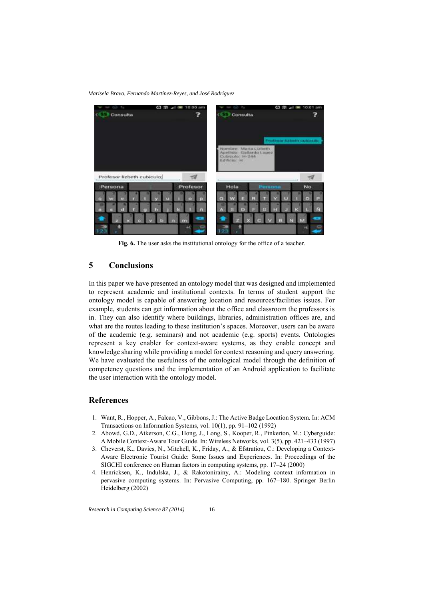*Marisela Bravo, Fernando Martínez-Reyes, and José Rodríguez*



**Fig. 6.** The user asks the institutional ontology for the office of a teacher.

## **5 Conclusions**

In this paper we have presented an ontology model that was designed and implemented to represent academic and institutional contexts. In terms of student support the ontology model is capable of answering location and resources/facilities issues. For example, students can get information about the office and classroom the professors is in. They can also identify where buildings, libraries, administration offices are, and what are the routes leading to these institution's spaces. Moreover, users can be aware of the academic (e.g. seminars) and not academic (e.g. sports) events. Ontologies represent a key enabler for context-aware systems, as they enable concept and knowledge sharing while providing a model for context reasoning and query answering. We have evaluated the usefulness of the ontological model through the definition of competency questions and the implementation of an Android application to facilitate the user interaction with the ontology model.

#### **References**

- 1. Want, R., Hopper, A., Falcao, V., Gibbons, J.: The Active Badge Location System. In: ACM Transactions on Information Systems, vol. 10(1), pp. 91–102 (1992)
- 2. Abowd, G.D., Atkerson, C.G., Hong, J., Long, S., Kooper, R., Pinkerton, M.: Cyberguide: A Mobile Context-Aware Tour Guide. In: Wireless Networks, vol. 3(5), pp. 421–433 (1997)
- 3. Cheverst, K., Davies, N., Mitchell, K., Friday, A., & Efstratiou, C.: Developing a Context-Aware Electronic Tourist Guide: Some Issues and Experiences. In: Proceedings of the SIGCHI conference on Human factors in computing systems, pp. 17–24 (2000)
- 4. Henricksen, K., Indulska, J., & Rakotonirainy, A.: Modeling context information in pervasive computing systems. In: Pervasive Computing, pp. 167–180. Springer Berlin Heidelberg (2002)